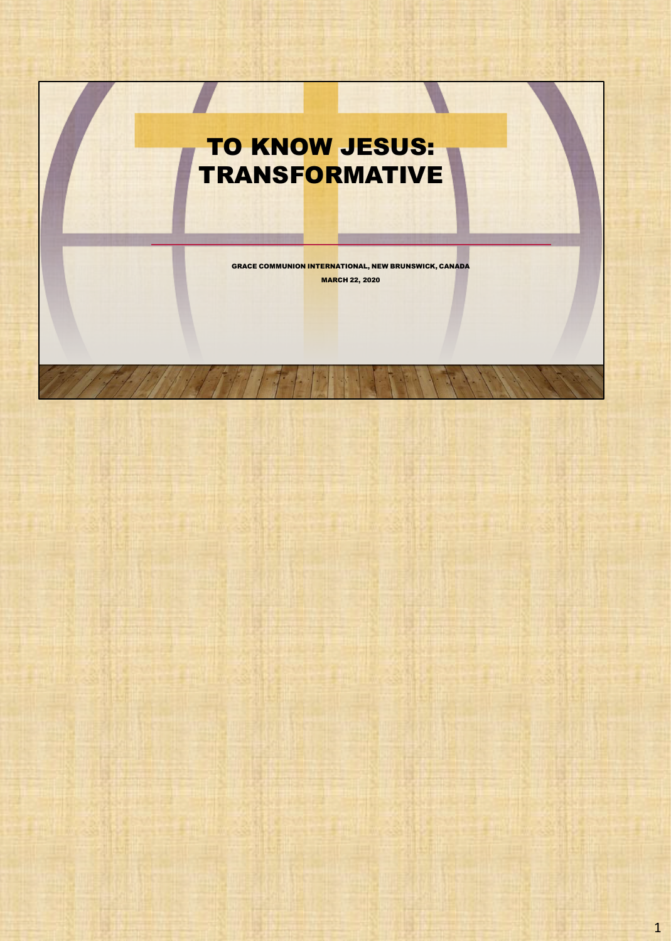## TO KNOW JESUS: **TRANSFORMATIVE**

GRACE COMMUNION INTERNATIONAL, NEW BRUNSWICK, CANADA MARCH 22, 2020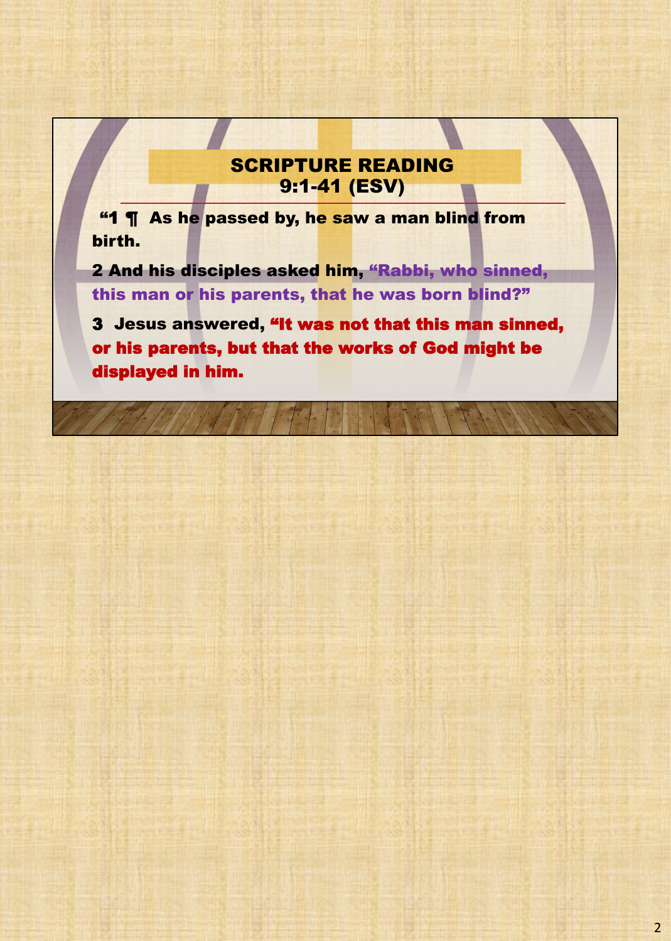## SCRIPTURE READING 9:1-41 (ESV)

"1 ¶ As he passed by, he saw a man blind from birth.

2 And his disciples asked him, "Rabbi, who sinned, this man or his parents, that he was born blind?"

3 Jesus answered, "It was not that this man sinned, or his parents, but that the works of God might be displayed in him.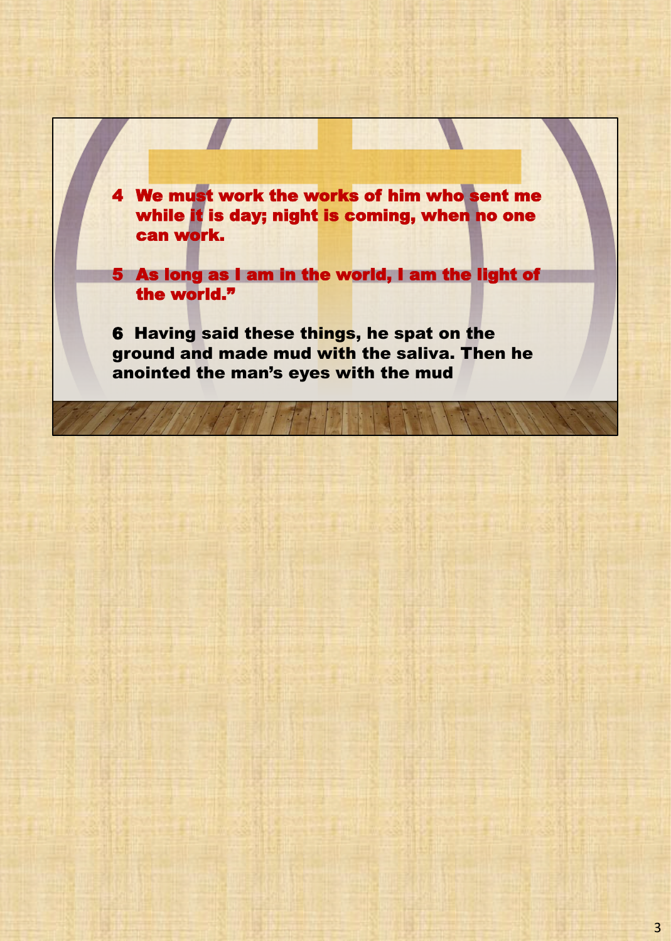4 We must work the works of him who sent me while it is day; night is coming, when no one can work.

5 As long as I am in the world, I am the light of the world."

6 Having said these things, he spat on the ground and made mud with the saliva. Then he anointed the man's eyes with the mud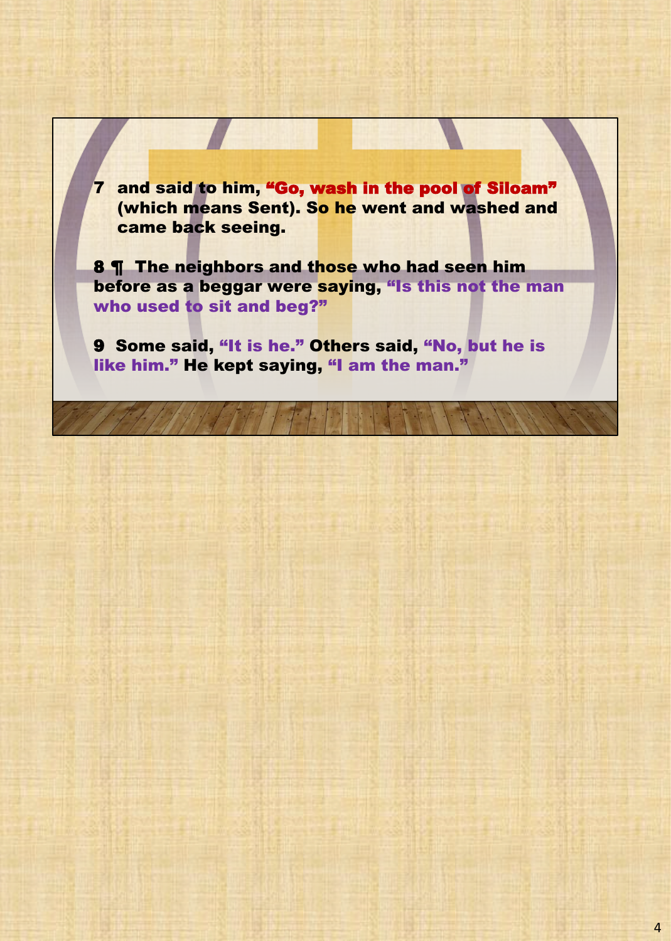7 and said to him, "Go, wash in the pool of Siloam" (which means Sent). So he went and washed and came back seeing.

8 **T** The neighbors and those who had seen him before as a beggar were saying, "Is this not the man who used to sit and beg?"

9 Some said, "It is he." Others said, "No, but he is like him." He kept saying, "I am the man."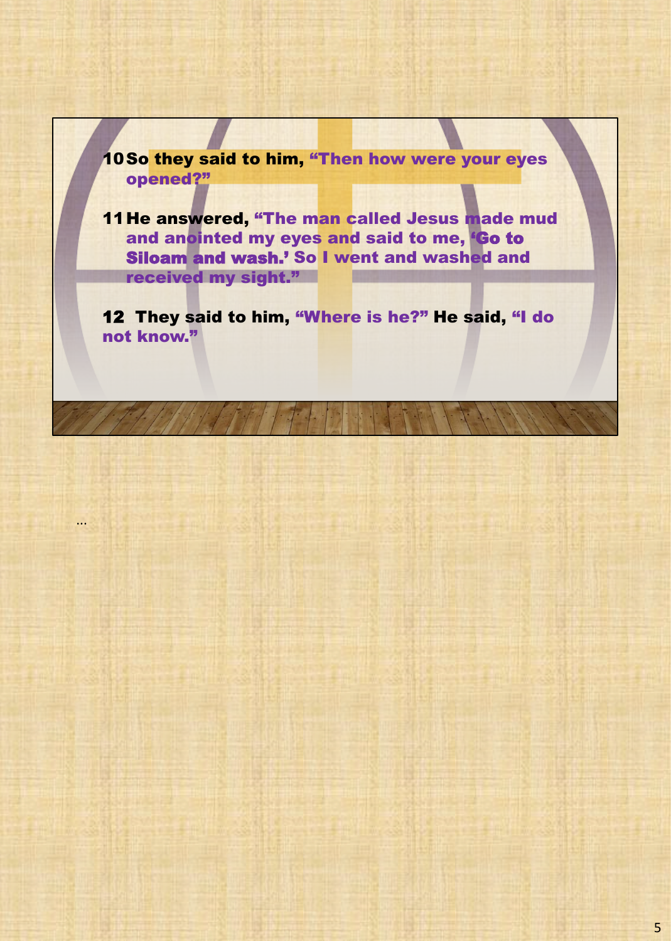

...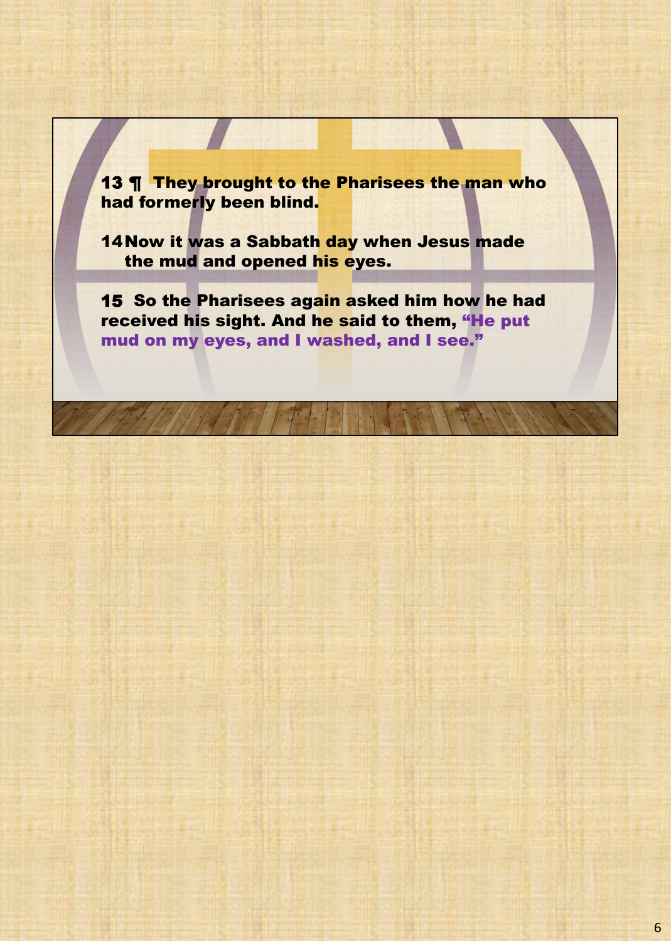13 ¶ They brought to the Pharisees the man who had formerly been blind.

14Now it was a Sabbath day when Jesus made the mud and opened his eyes.

15 So the Pharisees again asked him how he had received his sight. And he said to them, "He put mud on my eyes, and I washed, and I see."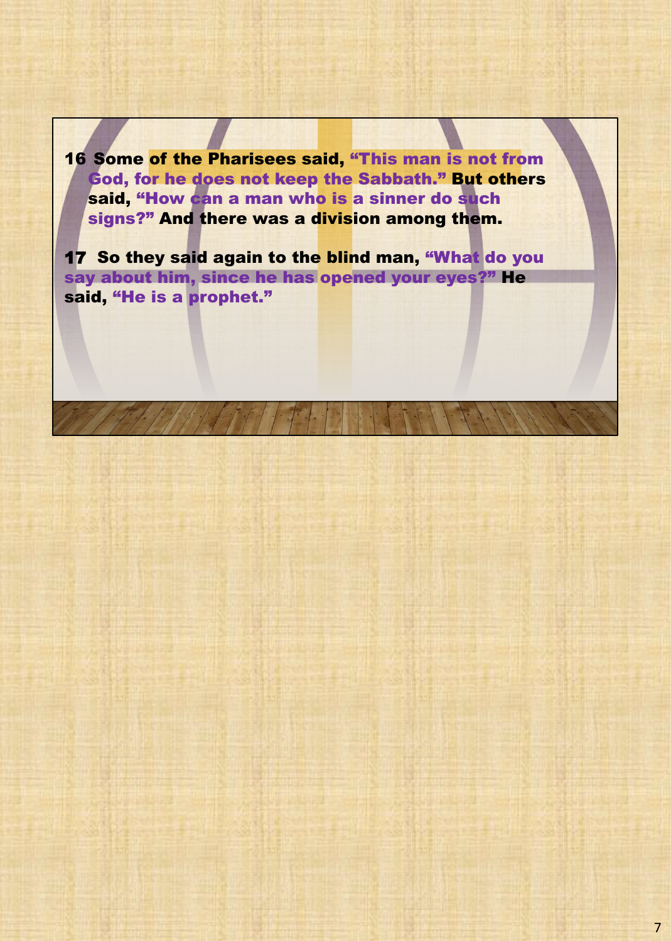16 Some of the Pharisees said, "This man is not from God, for he does not keep the Sabbath." But others said, "How can a man who is a sinner do such signs?" And there was a division among them.

17 So they said again to the blind man, "What do you say about him, since he has opened your eyes?" He said, "He is a prophet."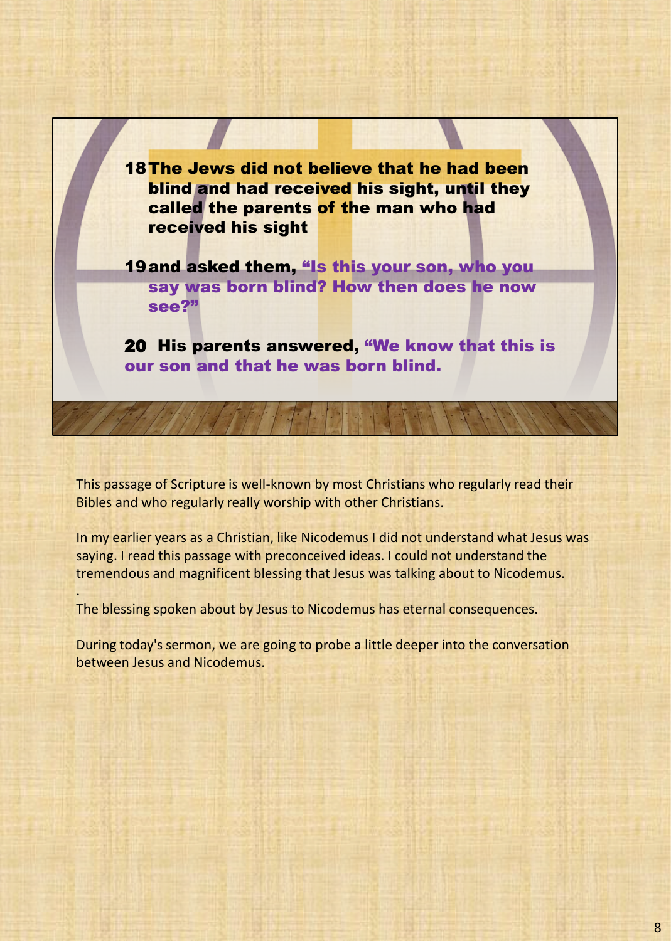18 The Jews did not believe that he had been blind and had received his sight, until they called the parents of the man who had received his sight

19and asked them, "Is this your son, who you say was born blind? How then does he now see?"

20 His parents answered, "We know that this is our son and that he was born blind.

This passage of Scripture is well-known by most Christians who regularly read their Bibles and who regularly really worship with other Christians.

In my earlier years as a Christian, like Nicodemus I did not understand what Jesus was saying. I read this passage with preconceived ideas. I could not understand the tremendous and magnificent blessing that Jesus was talking about to Nicodemus.

The blessing spoken about by Jesus to Nicodemus has eternal consequences.

.

During today's sermon, we are going to probe a little deeper into the conversation between Jesus and Nicodemus.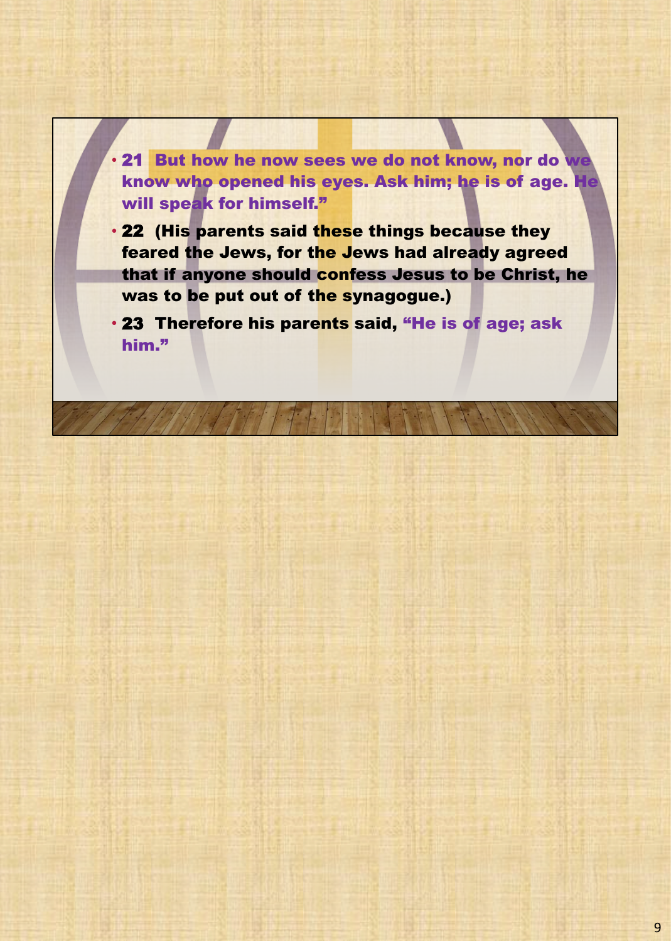• 21 But how he now sees we do not know, nor do we know who opened his eyes. Ask him; he is of age. He will speak for himself."

• 22 (His parents said these things because they feared the Jews, for the Jews had already agreed that if anyone should confess Jesus to be Christ, he was to be put out of the synagogue.)

• 23 Therefore his parents said, "He is of age; ask him."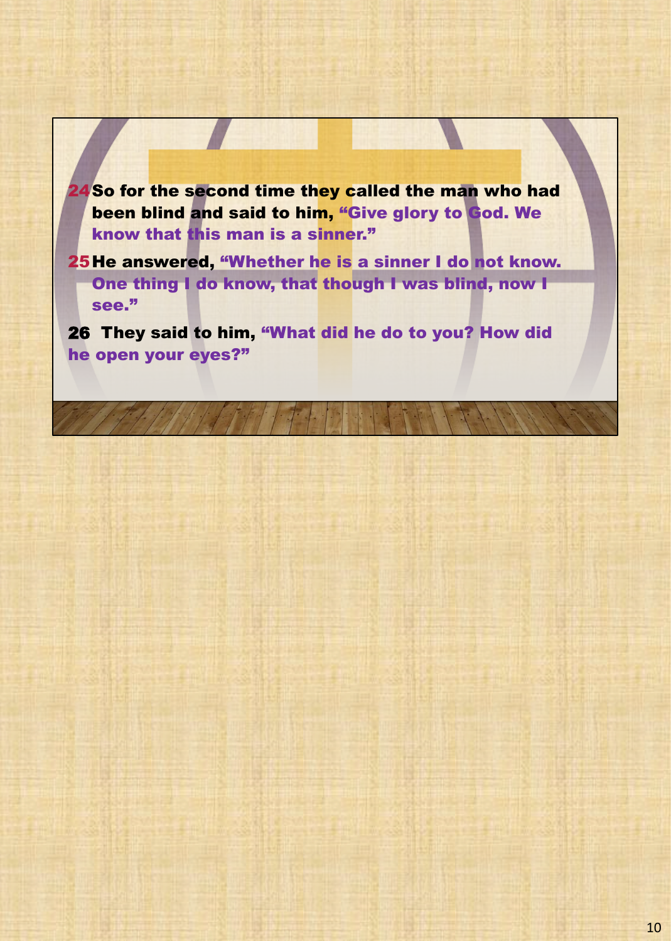24So for the second time they called the man who had been blind and said to him, "Give glory to God. We know that this man is a sinner."

25He answered, "Whether he is a sinner I do not know. One thing I do know, that though I was blind, now I see."

26 They said to him, "What did he do to you? How did he open your eyes?"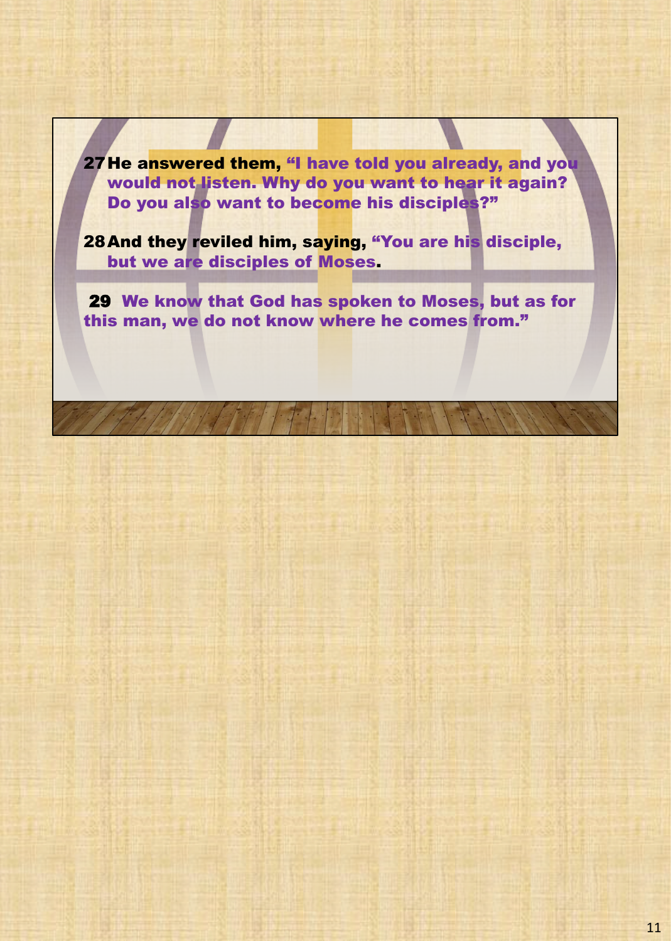27He answered them, "I have told you already, and you would not listen. Why do you want to hear it again? Do you also want to become his disciples?"

28And they reviled him, saying, "You are his disciple, but we are disciples of Moses.

29 We know that God has spoken to Moses, but as for this man, we do not know where he comes from."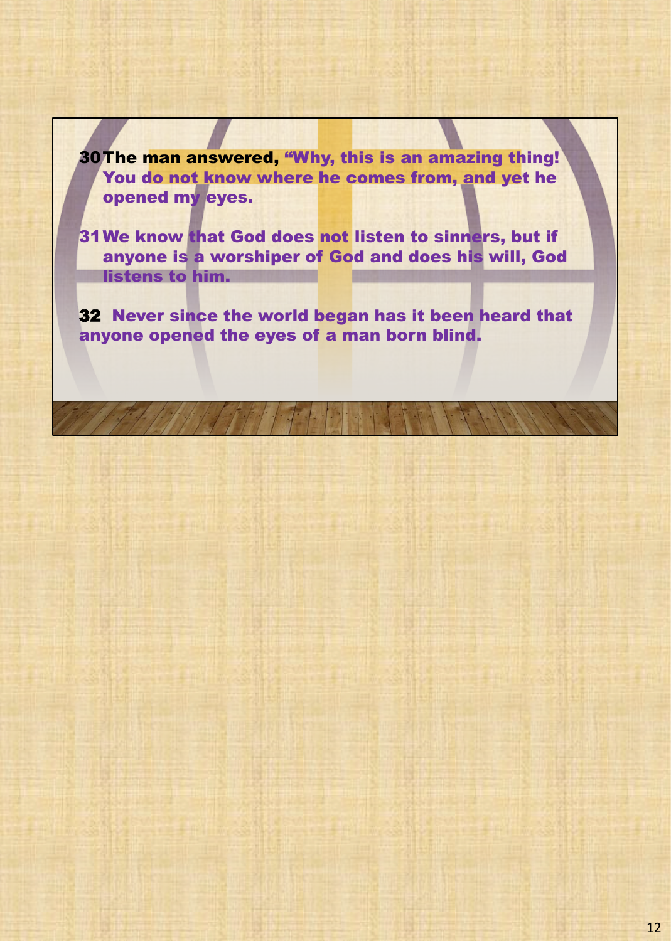30The man answered, "Why, this is an amazing thing! You do not know where he comes from, and yet he opened my eyes.

31We know that God does not listen to sinners, but if anyone is a worshiper of God and does his will, God listens to him.

32 Never since the world began has it been heard that anyone opened the eyes of a man born blind.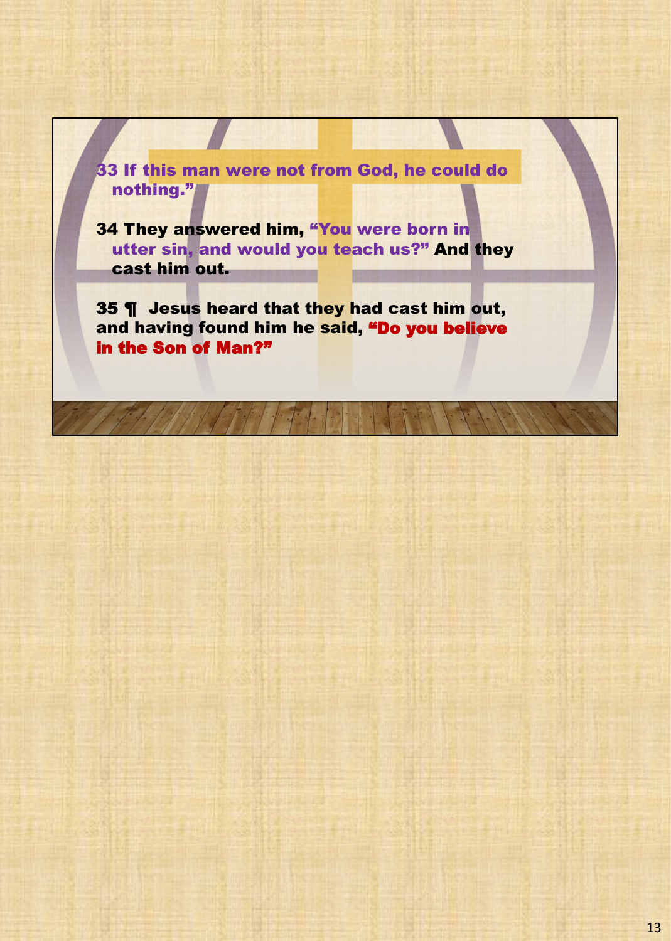33 If this man were not from God, he could do nothing."

34 They answered him, "You were born in utter sin, and would you teach us?" And they cast him out.

35 ¶ Jesus heard that they had cast him out, and having found him he said, "Do you believe in the Son of Man?"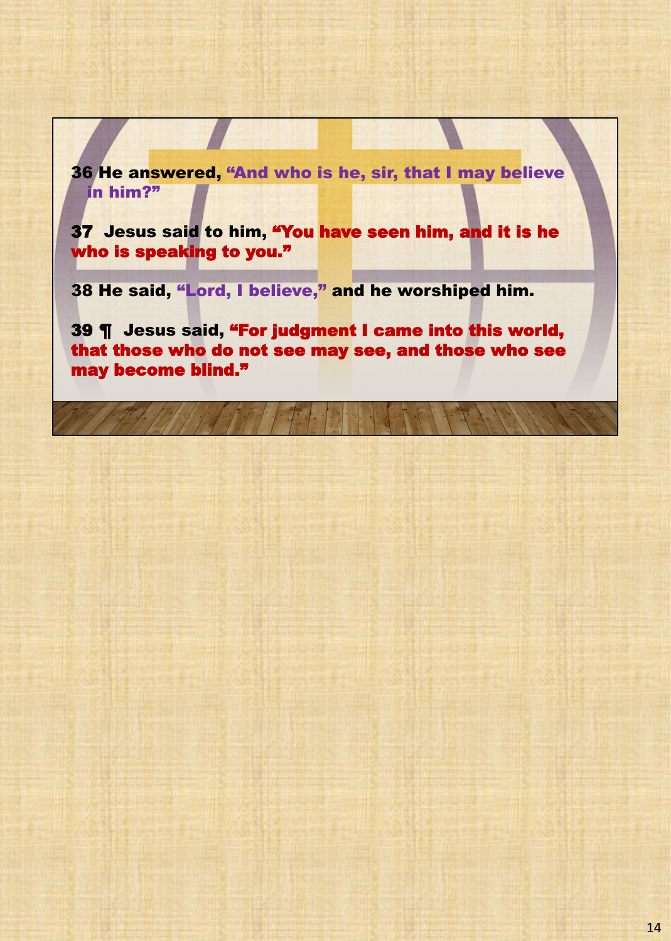36 He answered, "And who is he, sir, that I may believe in him?"

37 Jesus said to him, "You have seen him, and it is he who is speaking to you."

38 He said, "Lord, I believe," and he worshiped him.

39 ¶ Jesus said, "For judgment I came into this world, that those who do not see may see, and those who see may become blind."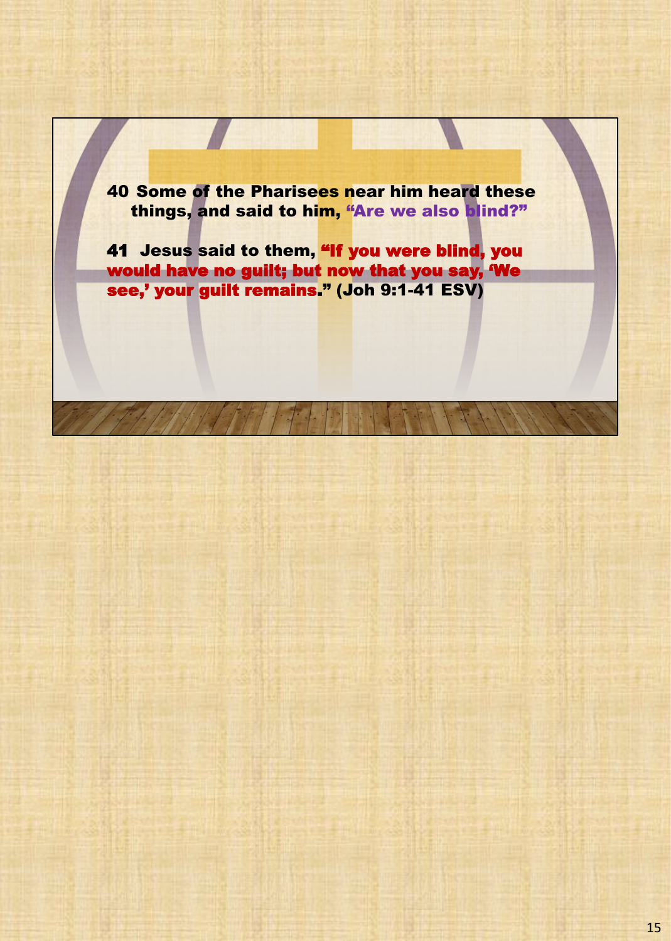40 Some of the Pharisees near him heard these things, and said to him, "Are we also blind?"

41 Jesus said to them, "If you were blind, you would have no guilt; but now that you say, 'We see,' your guilt remains." (Joh 9:1-41 ESV)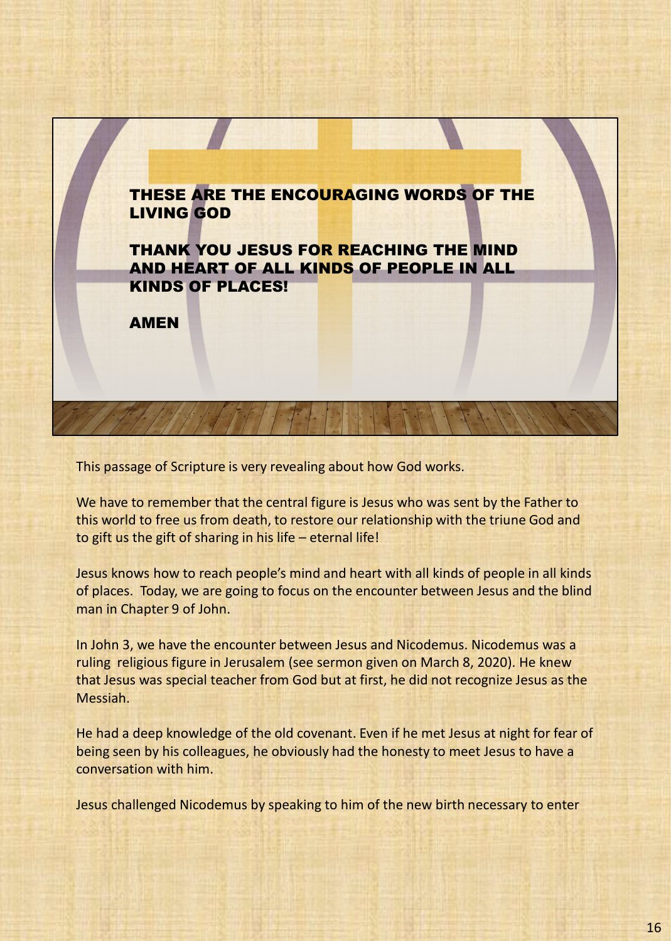

This passage of Scripture is very revealing about how God works.

We have to remember that the central figure is Jesus who was sent by the Father to this world to free us from death, to restore our relationship with the triune God and to gift us the gift of sharing in his life – eternal life!

Jesus knows how to reach people's mind and heart with all kinds of people in all kinds of places. Today, we are going to focus on the encounter between Jesus and the blind man in Chapter 9 of John.

In John 3, we have the encounter between Jesus and Nicodemus. Nicodemus was a ruling religious figure in Jerusalem (see sermon given on March 8, 2020). He knew that Jesus was special teacher from God but at first, he did not recognize Jesus as the Messiah.

He had a deep knowledge of the old covenant. Even if he met Jesus at night for fear of being seen by his colleagues, he obviously had the honesty to meet Jesus to have a conversation with him.

Jesus challenged Nicodemus by speaking to him of the new birth necessary to enter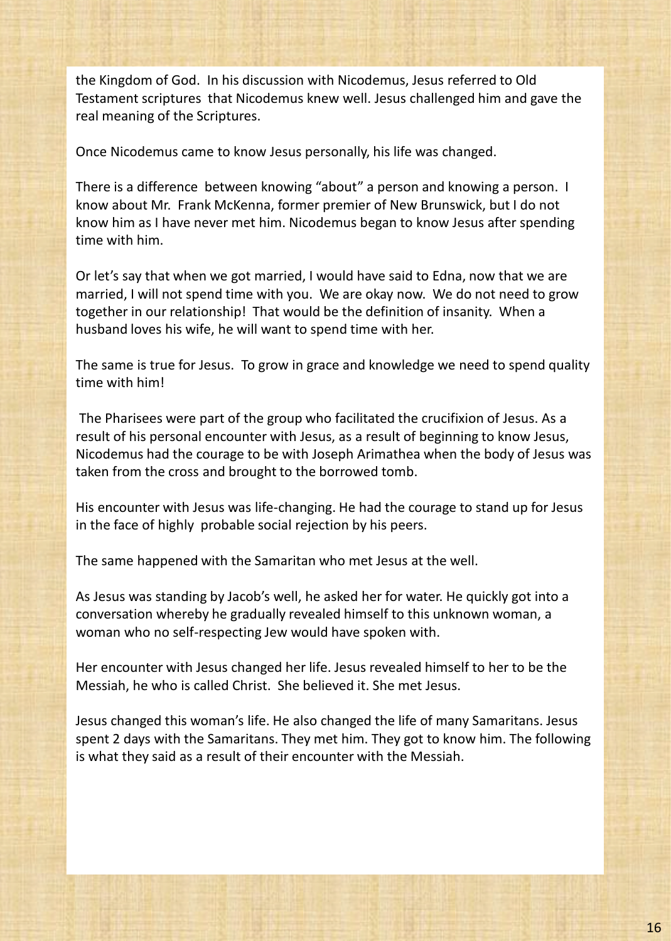the Kingdom of God. In his discussion with Nicodemus, Jesus referred to Old Testament scriptures that Nicodemus knew well. Jesus challenged him and gave the real meaning of the Scriptures.

Once Nicodemus came to know Jesus personally, his life was changed.

There is a difference between knowing "about" a person and knowing a person. I know about Mr. Frank McKenna, former premier of New Brunswick, but I do not know him as I have never met him. Nicodemus began to know Jesus after spending time with him.

Or let's say that when we got married, I would have said to Edna, now that we are married, I will not spend time with you. We are okay now. We do not need to grow together in our relationship! That would be the definition of insanity. When a husband loves his wife, he will want to spend time with her.

The same is true for Jesus. To grow in grace and knowledge we need to spend quality time with him!

The Pharisees were part of the group who facilitated the crucifixion of Jesus. As a result of his personal encounter with Jesus, as a result of beginning to know Jesus, Nicodemus had the courage to be with Joseph Arimathea when the body of Jesus was taken from the cross and brought to the borrowed tomb.

His encounter with Jesus was life-changing. He had the courage to stand up for Jesus in the face of highly probable social rejection by his peers.

The same happened with the Samaritan who met Jesus at the well.

As Jesus was standing by Jacob's well, he asked her for water. He quickly got into a conversation whereby he gradually revealed himself to this unknown woman, a woman who no self-respecting Jew would have spoken with.

Her encounter with Jesus changed her life. Jesus revealed himself to her to be the Messiah, he who is called Christ. She believed it. She met Jesus.

Jesus changed this woman's life. He also changed the life of many Samaritans. Jesus spent 2 days with the Samaritans. They met him. They got to know him. The following is what they said as a result of their encounter with the Messiah.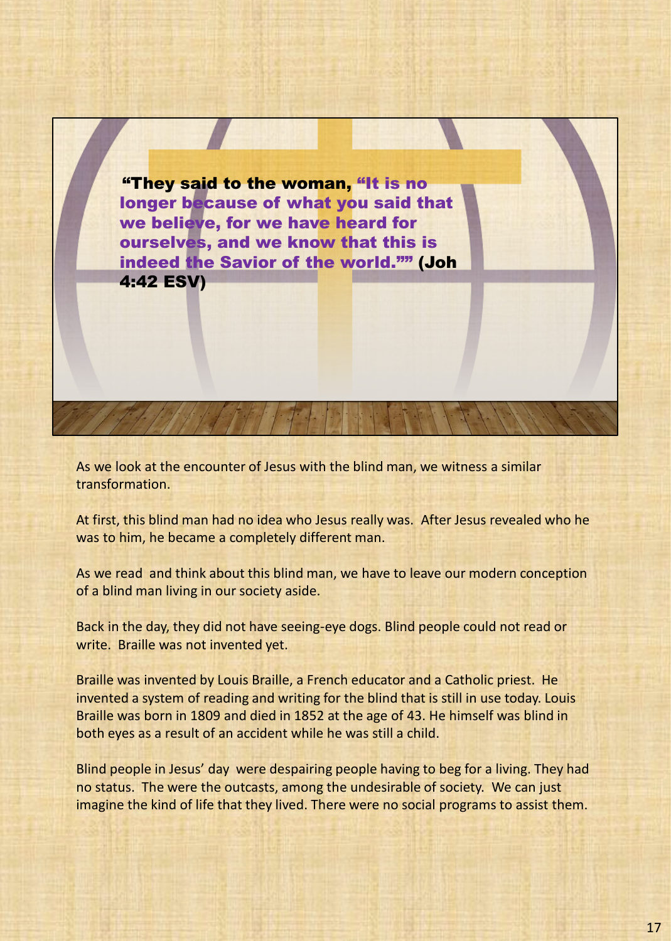"They said to the woman, "It is no longer because of what you said that we believe, for we have heard for ourselves, and we know that this is indeed the Savior of the world."" (Joh 4:42 ESV)

As we look at the encounter of Jesus with the blind man, we witness a similar transformation.

At first, this blind man had no idea who Jesus really was. After Jesus revealed who he was to him, he became a completely different man.

As we read and think about this blind man, we have to leave our modern conception of a blind man living in our society aside.

Back in the day, they did not have seeing-eye dogs. Blind people could not read or write. Braille was not invented yet.

Braille was invented by Louis Braille, a French educator and a Catholic priest. He invented a system of reading and writing for the blind that is still in use today. Louis Braille was born in 1809 and died in 1852 at the age of 43. He himself was blind in both eyes as a result of an accident while he was still a child.

Blind people in Jesus' day were despairing people having to beg for a living. They had no status. The were the outcasts, among the undesirable of society. We can just imagine the kind of life that they lived. There were no social programs to assist them.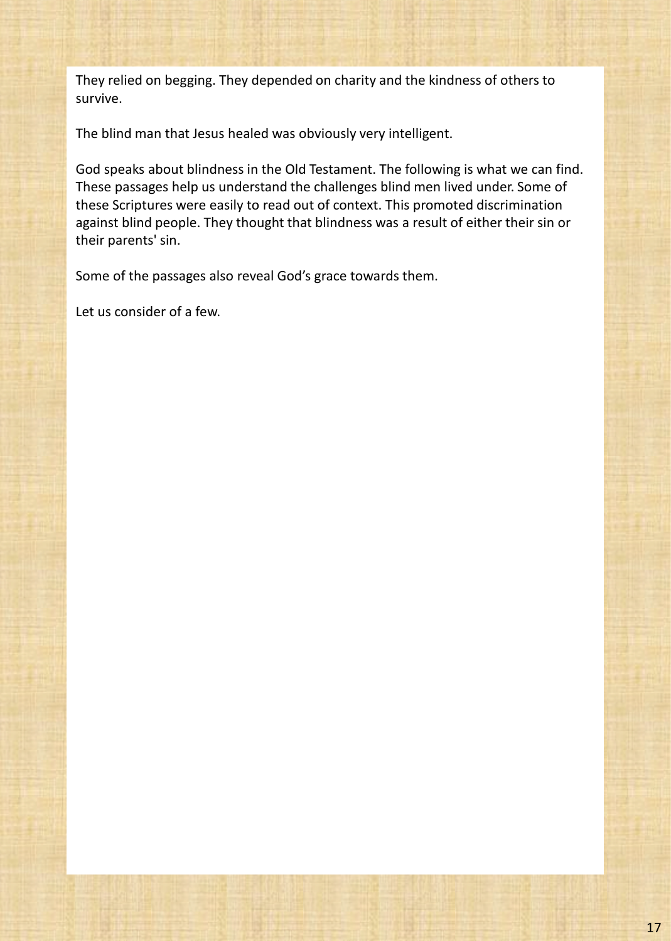They relied on begging. They depended on charity and the kindness of others to survive.

The blind man that Jesus healed was obviously very intelligent.

God speaks about blindness in the Old Testament. The following is what we can find. These passages help us understand the challenges blind men lived under. Some of these Scriptures were easily to read out of context. This promoted discrimination against blind people. They thought that blindness was a result of either their sin or their parents' sin.

Some of the passages also reveal God's grace towards them.

Let us consider of a few.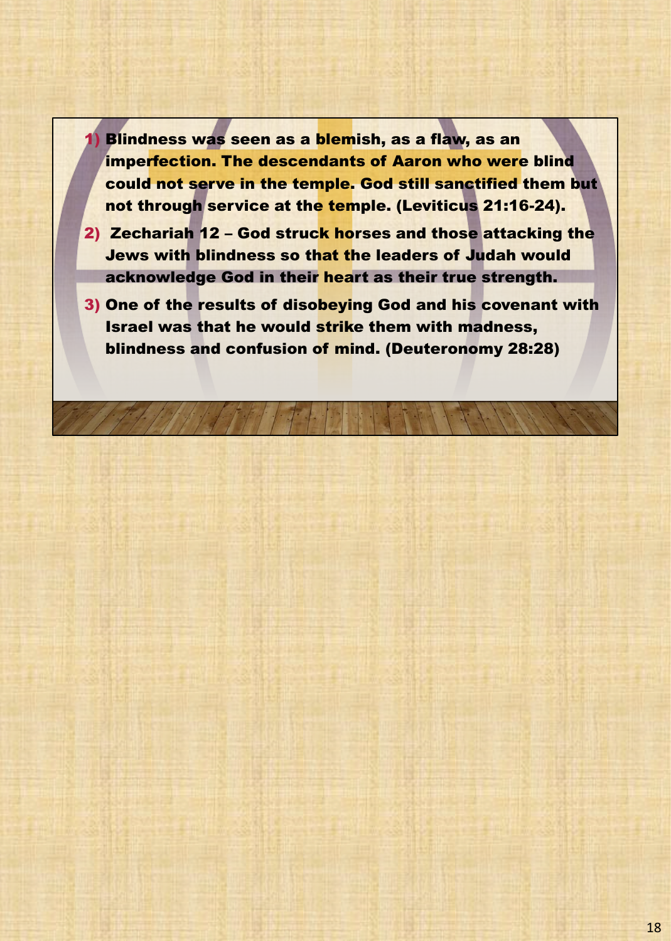1) Blindness was seen as a blemish, as a flaw, as an imperfection. The descendants of Aaron who were blind could not serve in the temple. God still sanctified them but not through service at the temple. (Leviticus 21:16-24).

- 2) Zechariah 12 God struck horses and those attacking the Jews with blindness so that the leaders of Judah would acknowledge God in their heart as their true strength.
- 3) One of the results of disobeying God and his covenant with Israel was that he would strike them with madness, blindness and confusion of mind. (Deuteronomy 28:28)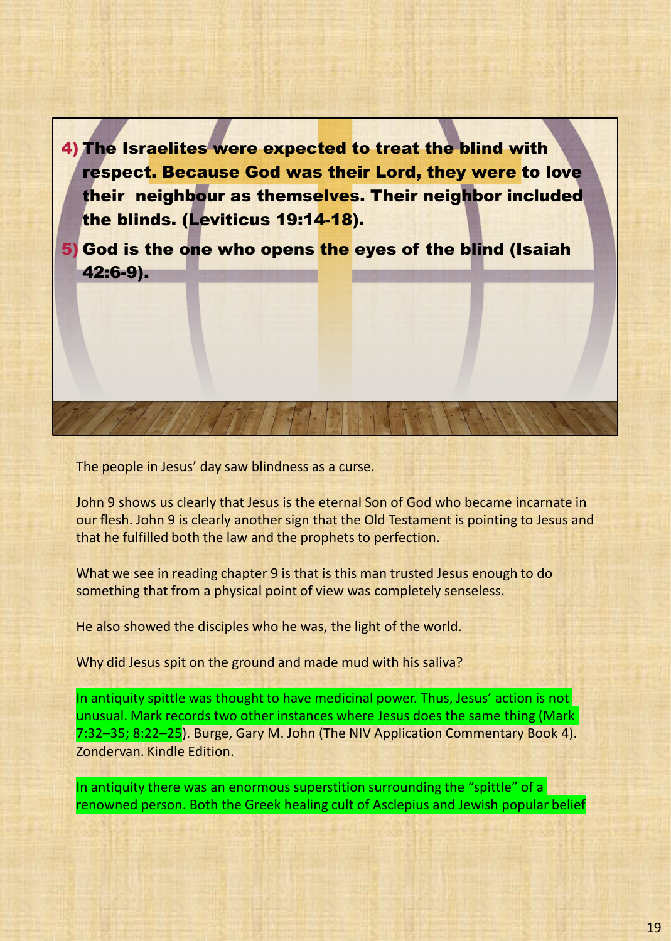4) The Israelites were expected to treat the blind with respect. Because God was their Lord, they were to love their neighbour as themselves. Their neighbor included the blinds. (Leviticus 19:14-18).

5) God is the one who opens the eyes of the blind (Isaiah 42:6-9).

The people in Jesus' day saw blindness as a curse.

John 9 shows us clearly that Jesus is the eternal Son of God who became incarnate in our flesh. John 9 is clearly another sign that the Old Testament is pointing to Jesus and that he fulfilled both the law and the prophets to perfection.

What we see in reading chapter 9 is that is this man trusted Jesus enough to do something that from a physical point of view was completely senseless.

He also showed the disciples who he was, the light of the world.

Why did Jesus spit on the ground and made mud with his saliva?

In antiquity spittle was thought to have medicinal power. Thus, Jesus' action is not unusual. Mark records two other instances where Jesus does the same thing (Mark 7:32–35; 8:22–25). Burge, Gary M. John (The NIV Application Commentary Book 4). Zondervan. Kindle Edition.

In antiquity there was an enormous superstition surrounding the "spittle" of a renowned person. Both the Greek healing cult of Asclepius and Jewish popular belief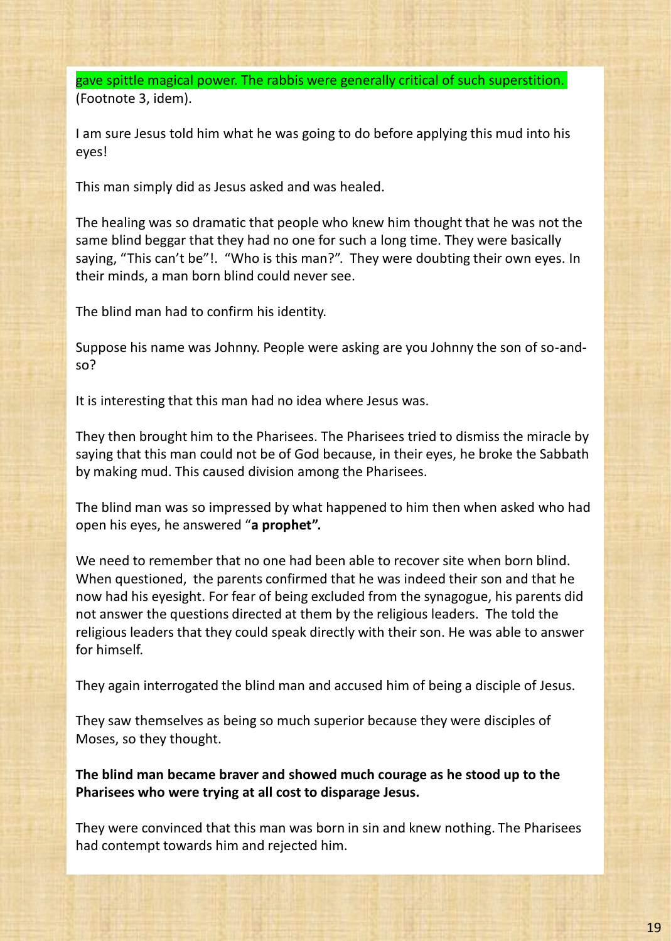gave spittle magical power. The rabbis were generally critical of such superstition. (Footnote 3, idem).

I am sure Jesus told him what he was going to do before applying this mud into his eyes!

This man simply did as Jesus asked and was healed.

The healing was so dramatic that people who knew him thought that he was not the same blind beggar that they had no one for such a long time. They were basically saying, "This can't be"!. "Who is this man?". They were doubting their own eyes. In their minds, a man born blind could never see.

The blind man had to confirm his identity.

Suppose his name was Johnny. People were asking are you Johnny the son of so-andso?

It is interesting that this man had no idea where Jesus was.

They then brought him to the Pharisees. The Pharisees tried to dismiss the miracle by saying that this man could not be of God because, in their eyes, he broke the Sabbath by making mud. This caused division among the Pharisees.

The blind man was so impressed by what happened to him then when asked who had open his eyes, he answered "**a prophet".**

We need to remember that no one had been able to recover site when born blind. When questioned, the parents confirmed that he was indeed their son and that he now had his eyesight. For fear of being excluded from the synagogue, his parents did not answer the questions directed at them by the religious leaders. The told the religious leaders that they could speak directly with their son. He was able to answer for himself.

They again interrogated the blind man and accused him of being a disciple of Jesus.

They saw themselves as being so much superior because they were disciples of Moses, so they thought.

**The blind man became braver and showed much courage as he stood up to the Pharisees who were trying at all cost to disparage Jesus.**

They were convinced that this man was born in sin and knew nothing. The Pharisees had contempt towards him and rejected him.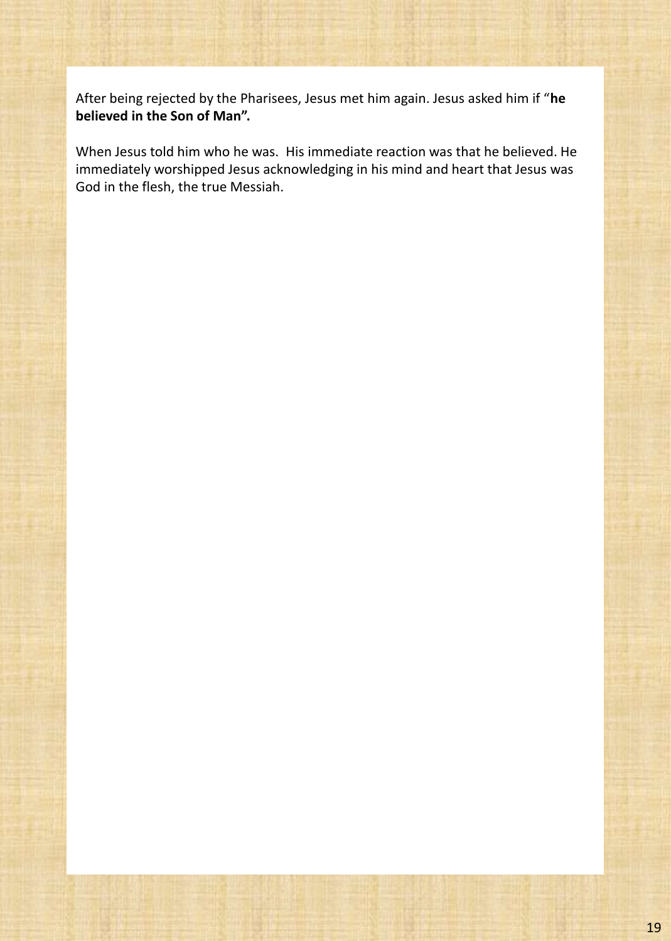After being rejected by the Pharisees, Jesus met him again. Jesus asked him if "**he believed in the Son of Man".**

When Jesus told him who he was. His immediate reaction was that he believed. He immediately worshipped Jesus acknowledging in his mind and heart that Jesus was God in the flesh, the true Messiah.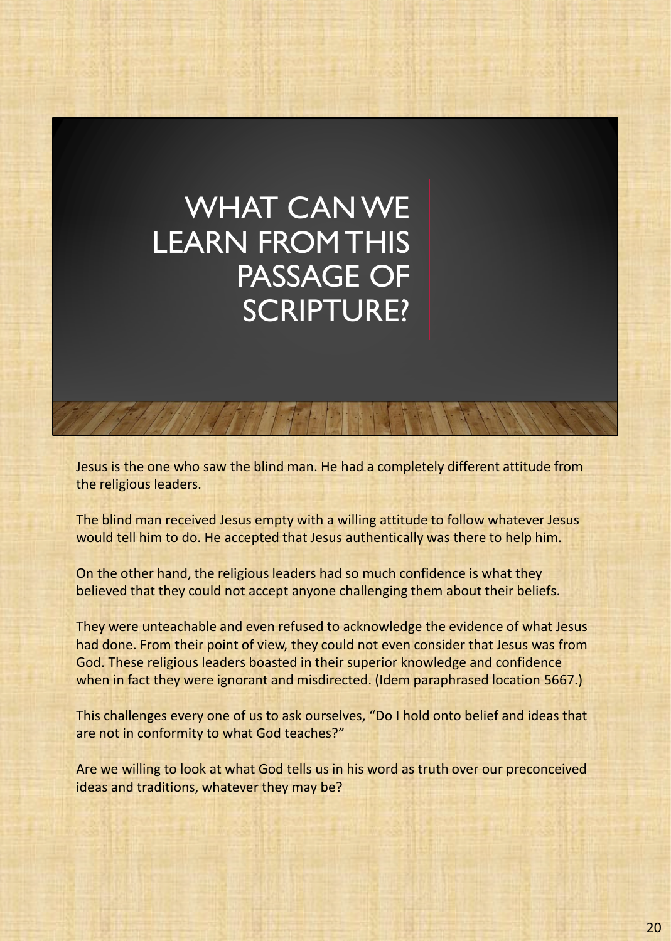## WHAT CAN WE LEARN FROM THIS PASSAGE OF SCRIPTURE?

Jesus is the one who saw the blind man. He had a completely different attitude from the religious leaders.

The blind man received Jesus empty with a willing attitude to follow whatever Jesus would tell him to do. He accepted that Jesus authentically was there to help him.

On the other hand, the religious leaders had so much confidence is what they believed that they could not accept anyone challenging them about their beliefs.

They were unteachable and even refused to acknowledge the evidence of what Jesus had done. From their point of view, they could not even consider that Jesus was from God. These religious leaders boasted in their superior knowledge and confidence when in fact they were ignorant and misdirected. (Idem paraphrased location 5667.)

This challenges every one of us to ask ourselves, "Do I hold onto belief and ideas that are not in conformity to what God teaches?"

Are we willing to look at what God tells us in his word as truth over our preconceived ideas and traditions, whatever they may be?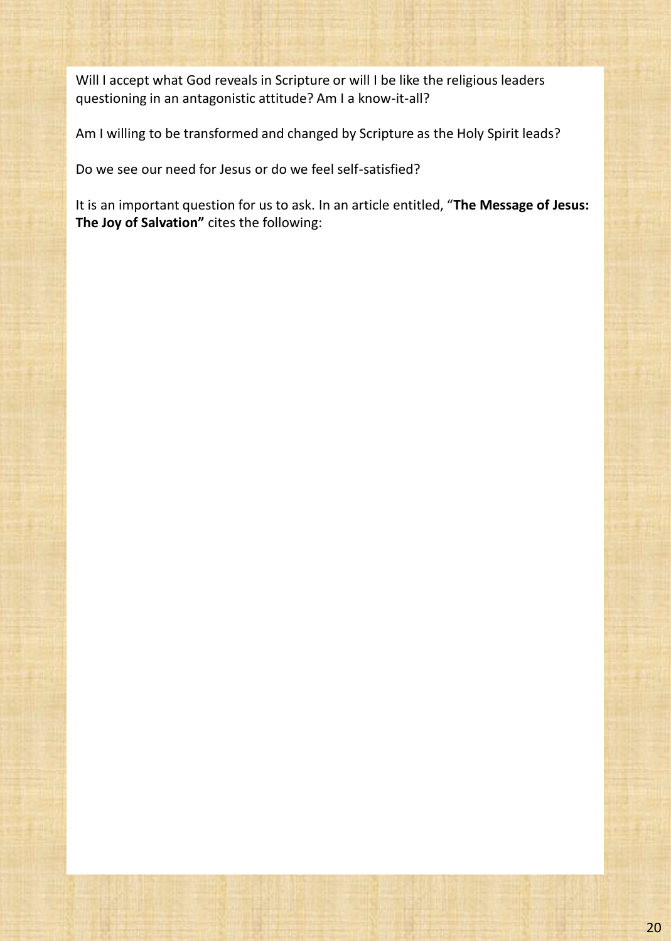Will I accept what God reveals in Scripture or will I be like the religious leaders questioning in an antagonistic attitude? Am I a know-it-all?

Am I willing to be transformed and changed by Scripture as the Holy Spirit leads?

Do we see our need for Jesus or do we feel self-satisfied?

It is an important question for us to ask. In an article entitled, "**The Message of Jesus: The Joy of Salvation"** cites the following: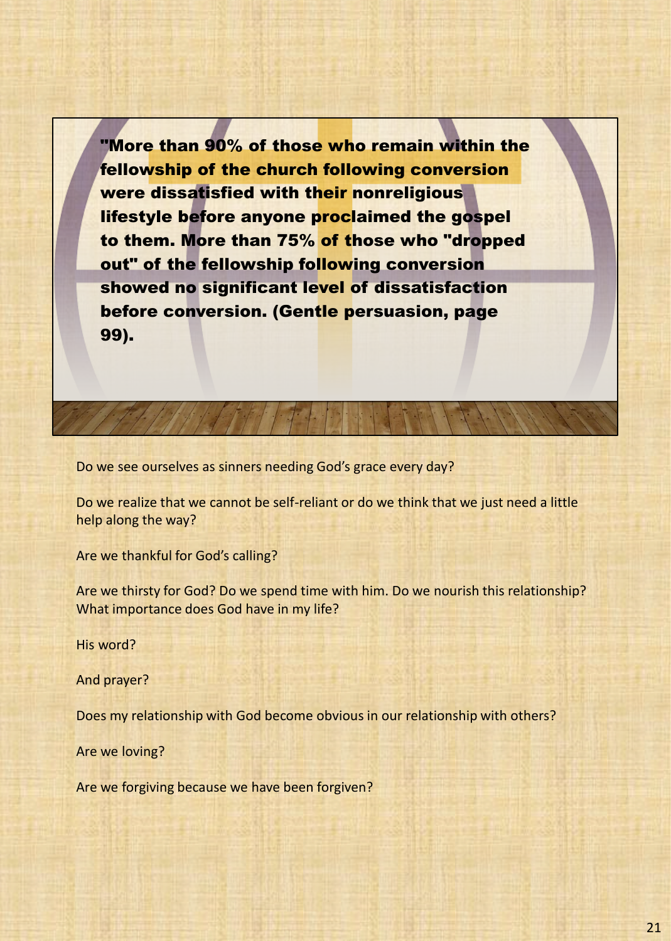"More than 90% of those who remain within the fellowship of the church following conversion were dissatisfied with their nonreligious lifestyle before anyone proclaimed the gospel to them. More than 75% of those who "dropped out" of the fellowship following conversion showed no significant level of dissatisfaction before conversion. (Gentle persuasion, page 99).

Do we see ourselves as sinners needing God's grace every day?

Do we realize that we cannot be self-reliant or do we think that we just need a little help along the way?

Are we thankful for God's calling?

Are we thirsty for God? Do we spend time with him. Do we nourish this relationship? What importance does God have in my life?

His word?

And prayer?

Does my relationship with God become obvious in our relationship with others?

Are we loving?

Are we forgiving because we have been forgiven?